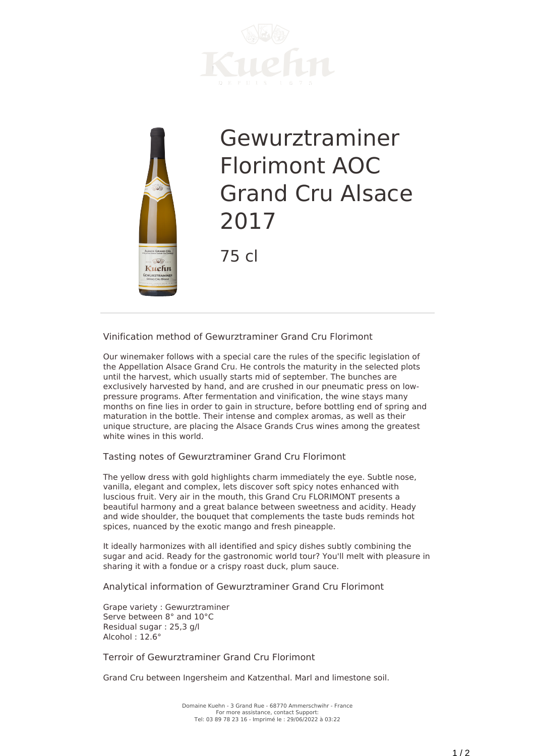



## Gewurztraminer Florimont AOC Grand Cru Alsace 2017

75 cl

**Vinification method of Gewurztraminer Grand Cru Florimont**

Our winemaker follows with a special care the rules of the specific legislation of the Appellation Alsace Grand Cru. He controls the maturity in the selected plots until the harvest, which usually starts mid of september. The bunches are exclusively harvested by hand, and are crushed in our pneumatic press on lowpressure programs. After fermentation and vinification, the wine stays many months on fine lies in order to gain in structure, before bottling end of spring and maturation in the bottle. Their intense and complex aromas, as well as their unique structure, are placing the Alsace Grands Crus wines among the greatest white wines in this world.

**Tasting notes of Gewurztraminer Grand Cru Florimont**

The yellow dress with gold highlights charm immediately the eye. Subtle nose, vanilla, elegant and complex, lets discover soft spicy notes enhanced with luscious fruit. Very air in the mouth, this Grand Cru FLORIMONT presents a beautiful harmony and a great balance between sweetness and acidity. Heady and wide shoulder, the bouquet that complements the taste buds reminds hot spices, nuanced by the exotic mango and fresh pineapple.

It ideally harmonizes with all identified and spicy dishes subtly combining the sugar and acid. Ready for the gastronomic world tour? You'll melt with pleasure in sharing it with a fondue or a crispy roast duck, plum sauce.

**Analytical information of Gewurztraminer Grand Cru Florimont**

Grape variety : Gewurztraminer Serve between 8° and 10°C Residual sugar : 25,3 g/l Alcohol : 12.6°

**Terroir of Gewurztraminer Grand Cru Florimont**

Grand Cru between Ingersheim and Katzenthal. Marl and limestone soil.